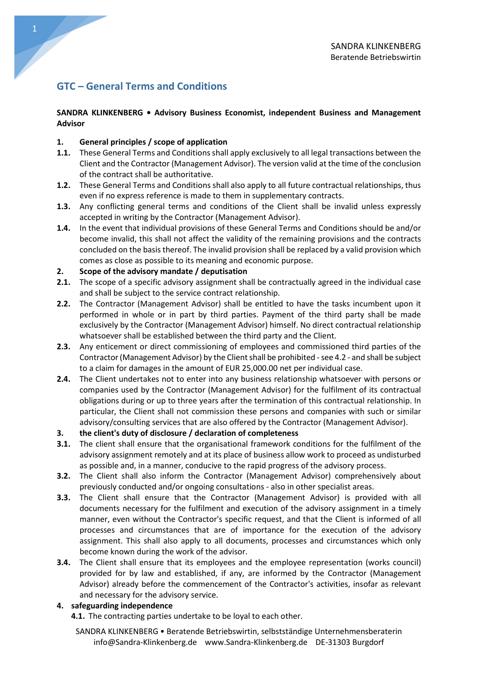# GTC – General Terms and Conditions

# SANDRA KLINKENBERG • Advisory Business Economist, independent Business and Management Advisor

# 1. General principles / scope of application

- 1.1. These General Terms and Conditions shall apply exclusively to all legal transactions between the Client and the Contractor (Management Advisor). The version valid at the time of the conclusion of the contract shall be authoritative.
- 1.2. These General Terms and Conditions shall also apply to all future contractual relationships, thus even if no express reference is made to them in supplementary contracts.
- 1.3. Any conflicting general terms and conditions of the Client shall be invalid unless expressly accepted in writing by the Contractor (Management Advisor).
- 1.4. In the event that individual provisions of these General Terms and Conditions should be and/or become invalid, this shall not affect the validity of the remaining provisions and the contracts concluded on the basis thereof. The invalid provision shall be replaced by a valid provision which comes as close as possible to its meaning and economic purpose.

## 2. Scope of the advisory mandate / deputisation

- 2.1. The scope of a specific advisory assignment shall be contractually agreed in the individual case and shall be subject to the service contract relationship.
- 2.2. The Contractor (Management Advisor) shall be entitled to have the tasks incumbent upon it performed in whole or in part by third parties. Payment of the third party shall be made exclusively by the Contractor (Management Advisor) himself. No direct contractual relationship whatsoever shall be established between the third party and the Client.
- 2.3. Any enticement or direct commissioning of employees and commissioned third parties of the Contractor (Management Advisor) by the Client shall be prohibited - see 4.2 - and shall be subject to a claim for damages in the amount of EUR 25,000.00 net per individual case.
- 2.4. The Client undertakes not to enter into any business relationship whatsoever with persons or companies used by the Contractor (Management Advisor) for the fulfilment of its contractual obligations during or up to three years after the termination of this contractual relationship. In particular, the Client shall not commission these persons and companies with such or similar advisory/consulting services that are also offered by the Contractor (Management Advisor).

# 3. the client's duty of disclosure / declaration of completeness

- **3.1.** The client shall ensure that the organisational framework conditions for the fulfilment of the advisory assignment remotely and at its place of business allow work to proceed as undisturbed as possible and, in a manner, conducive to the rapid progress of the advisory process.
- **3.2.** The Client shall also inform the Contractor (Management Advisor) comprehensively about previously conducted and/or ongoing consultations - also in other specialist areas.
- **3.3.** The Client shall ensure that the Contractor (Management Advisor) is provided with all documents necessary for the fulfilment and execution of the advisory assignment in a timely manner, even without the Contractor's specific request, and that the Client is informed of all processes and circumstances that are of importance for the execution of the advisory assignment. This shall also apply to all documents, processes and circumstances which only become known during the work of the advisor.
- 3.4. The Client shall ensure that its employees and the employee representation (works council) provided for by law and established, if any, are informed by the Contractor (Management Advisor) already before the commencement of the Contractor's activities, insofar as relevant and necessary for the advisory service.

### 4. safeguarding independence

4.1. The contracting parties undertake to be loyal to each other.

SANDRA KLINKENBERG • Beratende Betriebswirtin, selbstständige Unternehmensberaterin info@Sandra-Klinkenberg.de www.Sandra-Klinkenberg.de DE-31303 Burgdorf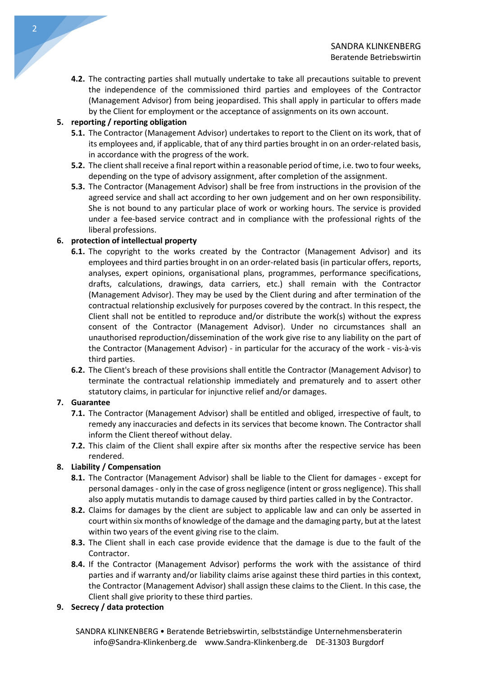4.2. The contracting parties shall mutually undertake to take all precautions suitable to prevent the independence of the commissioned third parties and employees of the Contractor (Management Advisor) from being jeopardised. This shall apply in particular to offers made by the Client for employment or the acceptance of assignments on its own account.

# 5. reporting / reporting obligation

- 5.1. The Contractor (Management Advisor) undertakes to report to the Client on its work, that of its employees and, if applicable, that of any third parties brought in on an order-related basis, in accordance with the progress of the work.
- 5.2. The client shall receive a final report within a reasonable period of time, i.e. two to four weeks, depending on the type of advisory assignment, after completion of the assignment.
- 5.3. The Contractor (Management Advisor) shall be free from instructions in the provision of the agreed service and shall act according to her own judgement and on her own responsibility. She is not bound to any particular place of work or working hours. The service is provided under a fee-based service contract and in compliance with the professional rights of the liberal professions.

# 6. protection of intellectual property

- **6.1.** The copyright to the works created by the Contractor (Management Advisor) and its employees and third parties brought in on an order-related basis (in particular offers, reports, analyses, expert opinions, organisational plans, programmes, performance specifications, drafts, calculations, drawings, data carriers, etc.) shall remain with the Contractor (Management Advisor). They may be used by the Client during and after termination of the contractual relationship exclusively for purposes covered by the contract. In this respect, the Client shall not be entitled to reproduce and/or distribute the work(s) without the express consent of the Contractor (Management Advisor). Under no circumstances shall an unauthorised reproduction/dissemination of the work give rise to any liability on the part of the Contractor (Management Advisor) - in particular for the accuracy of the work - vis-à-vis third parties.
- 6.2. The Client's breach of these provisions shall entitle the Contractor (Management Advisor) to terminate the contractual relationship immediately and prematurely and to assert other statutory claims, in particular for injunctive relief and/or damages.

# 7. Guarantee

- 7.1. The Contractor (Management Advisor) shall be entitled and obliged, irrespective of fault, to remedy any inaccuracies and defects in its services that become known. The Contractor shall inform the Client thereof without delay.
- **7.2.** This claim of the Client shall expire after six months after the respective service has been rendered.

# 8. Liability / Compensation

- 8.1. The Contractor (Management Advisor) shall be liable to the Client for damages except for personal damages - only in the case of gross negligence (intent or gross negligence). This shall also apply mutatis mutandis to damage caused by third parties called in by the Contractor.
- 8.2. Claims for damages by the client are subject to applicable law and can only be asserted in court within six months of knowledge of the damage and the damaging party, but at the latest within two years of the event giving rise to the claim.
- 8.3. The Client shall in each case provide evidence that the damage is due to the fault of the Contractor.
- 8.4. If the Contractor (Management Advisor) performs the work with the assistance of third parties and if warranty and/or liability claims arise against these third parties in this context, the Contractor (Management Advisor) shall assign these claims to the Client. In this case, the Client shall give priority to these third parties.
- 9. Secrecy / data protection

SANDRA KLINKENBERG • Beratende Betriebswirtin, selbstständige Unternehmensberaterin info@Sandra-Klinkenberg.de www.Sandra-Klinkenberg.de DE-31303 Burgdorf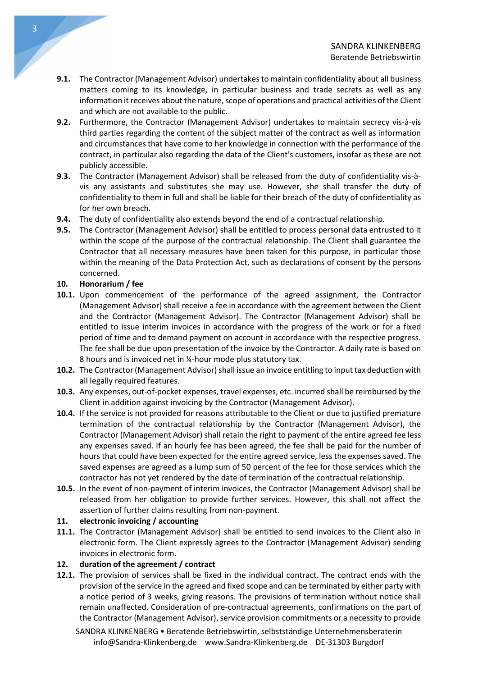- 9.1. The Contractor (Management Advisor) undertakes to maintain confidentiality about all business matters coming to its knowledge, in particular business and trade secrets as well as any information it receives about the nature, scope of operations and practical activities of the Client and which are not available to the public.
- 9.2. Furthermore, the Contractor (Management Advisor) undertakes to maintain secrecy vis-à-vis third parties regarding the content of the subject matter of the contract as well as information and circumstances that have come to her knowledge in connection with the performance of the contract, in particular also regarding the data of the Client's customers, insofar as these are not publicly accessible.
- 9.3. The Contractor (Management Advisor) shall be released from the duty of confidentiality vis-àvis any assistants and substitutes she may use. However, she shall transfer the duty of confidentiality to them in full and shall be liable for their breach of the duty of confidentiality as for her own breach.
- 9.4. The duty of confidentiality also extends beyond the end of a contractual relationship.
- 9.5. The Contractor (Management Advisor) shall be entitled to process personal data entrusted to it within the scope of the purpose of the contractual relationship. The Client shall guarantee the Contractor that all necessary measures have been taken for this purpose, in particular those within the meaning of the Data Protection Act, such as declarations of consent by the persons concerned.

## 10. Honorarium / fee

- 10.1. Upon commencement of the performance of the agreed assignment, the Contractor (Management Advisor) shall receive a fee in accordance with the agreement between the Client and the Contractor (Management Advisor). The Contractor (Management Advisor) shall be entitled to issue interim invoices in accordance with the progress of the work or for a fixed period of time and to demand payment on account in accordance with the respective progress. The fee shall be due upon presentation of the invoice by the Contractor. A daily rate is based on 8 hours and is invoiced net in ¼-hour mode plus statutory tax.
- 10.2. The Contractor (Management Advisor) shall issue an invoice entitling to input tax deduction with all legally required features.
- 10.3. Any expenses, out-of-pocket expenses, travel expenses, etc. incurred shall be reimbursed by the Client in addition against invoicing by the Contractor (Management Advisor).
- 10.4. If the service is not provided for reasons attributable to the Client or due to justified premature termination of the contractual relationship by the Contractor (Management Advisor), the Contractor (Management Advisor) shall retain the right to payment of the entire agreed fee less any expenses saved. If an hourly fee has been agreed, the fee shall be paid for the number of hours that could have been expected for the entire agreed service, less the expenses saved. The saved expenses are agreed as a lump sum of 50 percent of the fee for those services which the contractor has not yet rendered by the date of termination of the contractual relationship.
- 10.5. In the event of non-payment of interim invoices, the Contractor (Management Advisor) shall be released from her obligation to provide further services. However, this shall not affect the assertion of further claims resulting from non-payment.

### 11. electronic invoicing / accounting

11.1. The Contractor (Management Advisor) shall be entitled to send invoices to the Client also in electronic form. The Client expressly agrees to the Contractor (Management Advisor) sending invoices in electronic form.

# 12. duration of the agreement / contract

12.1. The provision of services shall be fixed in the individual contract. The contract ends with the provision of the service in the agreed and fixed scope and can be terminated by either party with a notice period of 3 weeks, giving reasons. The provisions of termination without notice shall remain unaffected. Consideration of pre-contractual agreements, confirmations on the part of the Contractor (Management Advisor), service provision commitments or a necessity to provide

SANDRA KLINKENBERG • Beratende Betriebswirtin, selbstständige Unternehmensberaterin info@Sandra-Klinkenberg.de www.Sandra-Klinkenberg.de DE-31303 Burgdorf